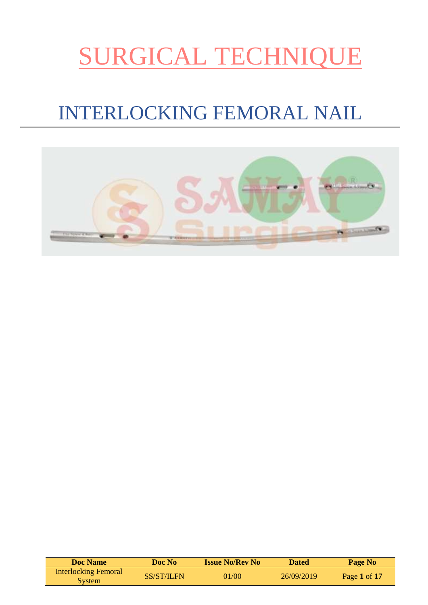# SURGICAL TECHNIQUE

# INTERLOCKING FEMORAL NAIL



| Doc Name                              | Doc No            | <b>Issue No/Rev No</b> | <b>Dated</b> | Page No      |
|---------------------------------------|-------------------|------------------------|--------------|--------------|
| <b>Interlocking Femoral</b><br>System | <b>SS/ST/ILFN</b> | 01/00                  | 26/09/2019   | Page 1 of 17 |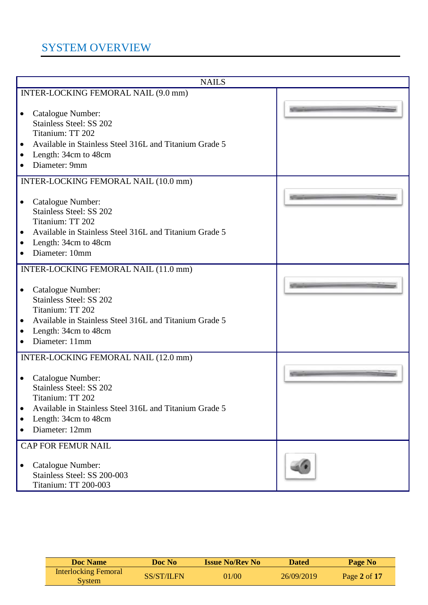## SYSTEM OVERVIEW

| <b>NAILS</b>                                                                                                                                                                                                                                                     |  |
|------------------------------------------------------------------------------------------------------------------------------------------------------------------------------------------------------------------------------------------------------------------|--|
| INTER-LOCKING FEMORAL NAIL (9.0 mm)<br>Catalogue Number:<br><b>Stainless Steel: SS 202</b><br>Titanium: TT 202<br>Available in Stainless Steel 316L and Titanium Grade 5<br>$\bullet$<br>Length: 34cm to 48cm<br>$\bullet$<br>Diameter: 9mm                      |  |
| INTER-LOCKING FEMORAL NAIL (10.0 mm)<br>Catalogue Number:<br>$\bullet$<br>Stainless Steel: SS 202<br>Titanium: TT 202<br>Available in Stainless Steel 316L and Titanium Grade 5<br>$\bullet$<br>Length: 34cm to 48cm<br>$\bullet$<br>Diameter: 10mm<br>$\bullet$ |  |
| INTER-LOCKING FEMORAL NAIL (11.0 mm)<br>Catalogue Number:<br>$\bullet$<br><b>Stainless Steel: SS 202</b><br>Titanium: TT 202<br>Available in Stainless Steel 316L and Titanium Grade 5<br>Length: 34cm to 48cm<br>$\bullet$<br>Diameter: 11mm                    |  |
| INTER-LOCKING FEMORAL NAIL (12.0 mm)<br>Catalogue Number:<br>Stainless Steel: SS 202<br>Titanium: TT 202<br>Available in Stainless Steel 316L and Titanium Grade 5<br>Length: 34cm to 48cm<br>Diameter: 12mm<br>$\bullet$                                        |  |
| <b>CAP FOR FEMUR NAIL</b><br>Catalogue Number:<br>$\bullet$<br>Stainless Steel: SS 200-003<br><b>Titanium: TT 200-003</b>                                                                                                                                        |  |

| Doc Name                                     | Doc No-           | <b>Issue No/Rev No</b> | <b>Dated</b> | Page No        |
|----------------------------------------------|-------------------|------------------------|--------------|----------------|
| <b>Interlocking Femoral</b><br><b>System</b> | <b>SS/ST/ILFN</b> | 01/00                  | 26/09/2019   | Page 2 of $17$ |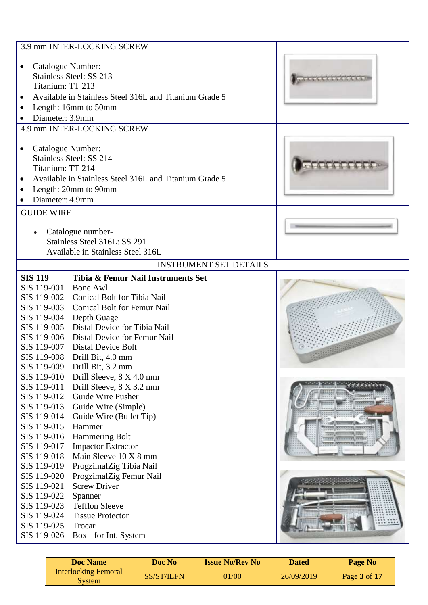|                                                                                    | 3.9 mm INTER-LOCKING SCREW                                                                                |  |
|------------------------------------------------------------------------------------|-----------------------------------------------------------------------------------------------------------|--|
| Catalogue Number:<br>Titanium: TT 213<br>$\bullet$<br>$\bullet$<br>Diameter: 3.9mm | Stainless Steel: SS 213<br>Available in Stainless Steel 316L and Titanium Grade 5<br>Length: 16mm to 50mm |  |
|                                                                                    | 4.9 mm INTER-LOCKING SCREW                                                                                |  |
| Catalogue Number:<br>Titanium: TT 214<br>٠<br>٠<br>Diameter: 4.9mm                 | Stainless Steel: SS 214<br>Available in Stainless Steel 316L and Titanium Grade 5<br>Length: 20mm to 90mm |  |
| <b>GUIDE WIRE</b>                                                                  |                                                                                                           |  |
|                                                                                    | Catalogue number-<br>Stainless Steel 316L: SS 291<br>Available in Stainless Steel 316L                    |  |
|                                                                                    | <b>INSTRUMENT SET DETAILS</b>                                                                             |  |
| <b>SIS 119</b>                                                                     | Tibia & Femur Nail Instruments Set                                                                        |  |
| SIS 119-001                                                                        | <b>Bone Awl</b>                                                                                           |  |
| SIS 119-002                                                                        | <b>Conical Bolt for Tibia Nail</b>                                                                        |  |
| SIS 119-003                                                                        | <b>Conical Bolt for Femur Nail</b>                                                                        |  |
| SIS 119-004<br>SIS 119-005                                                         | Depth Guage<br>Distal Device for Tibia Nail                                                               |  |
| SIS 119-006                                                                        | Distal Device for Femur Nail                                                                              |  |
| SIS 119-007                                                                        | <b>Distal Device Bolt</b>                                                                                 |  |
| SIS 119-008                                                                        | Drill Bit, 4.0 mm                                                                                         |  |
| SIS 119-009                                                                        | Drill Bit, 3.2 mm                                                                                         |  |
| SIS 119-010                                                                        | Drill Sleeve, 8 X 4.0 mm                                                                                  |  |
| SIS 119-011                                                                        | Drill Sleeve, 8 X 3.2 mm                                                                                  |  |
| SIS 119-012                                                                        | Guide Wire Pusher                                                                                         |  |
| SIS 119-013                                                                        | Guide Wire (Simple)                                                                                       |  |
| SIS 119-014                                                                        | Guide Wire (Bullet Tip)                                                                                   |  |
| SIS 119-015                                                                        | Hammer                                                                                                    |  |
| SIS 119-016                                                                        | Hammering Bolt                                                                                            |  |
| SIS 119-017                                                                        | <b>Impactor Extractor</b>                                                                                 |  |
| SIS 119-018                                                                        | Main Sleeve 10 X 8 mm                                                                                     |  |
| SIS 119-019                                                                        | ProgzimalZig Tibia Nail                                                                                   |  |
| SIS 119-020                                                                        | ProgzimalZig Femur Nail                                                                                   |  |
| SIS 119-021                                                                        | <b>Screw Driver</b>                                                                                       |  |
| SIS 119-022                                                                        | Spanner                                                                                                   |  |
| SIS 119-023                                                                        | <b>Tefflon Sleeve</b>                                                                                     |  |
| SIS 119-024                                                                        | <b>Tissue Protector</b>                                                                                   |  |
| SIS 119-025                                                                        | Trocar                                                                                                    |  |
| SIS 119-026                                                                        | Box - for Int. System                                                                                     |  |

| Doc Name                                     | Doc No            | <b>Issue No/Rev No</b> | <b>Dated</b> | Page No      |
|----------------------------------------------|-------------------|------------------------|--------------|--------------|
| <b>Interlocking Femoral</b><br><b>System</b> | <b>SS/ST/ILFN</b> | 01/00                  | 26/09/2019   | Page 3 of 17 |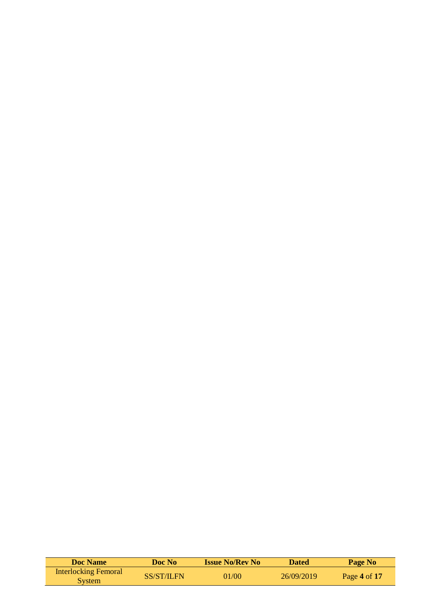| <b>Doc</b> Name                              | Doc No            | <b>Issue No/Rev No</b> | <b>Dated</b> | Page No      |
|----------------------------------------------|-------------------|------------------------|--------------|--------------|
| <b>Interlocking Femoral</b><br><b>System</b> | <b>SS/ST/ILFN</b> | 01/00                  | 26/09/2019   | Page 4 of 17 |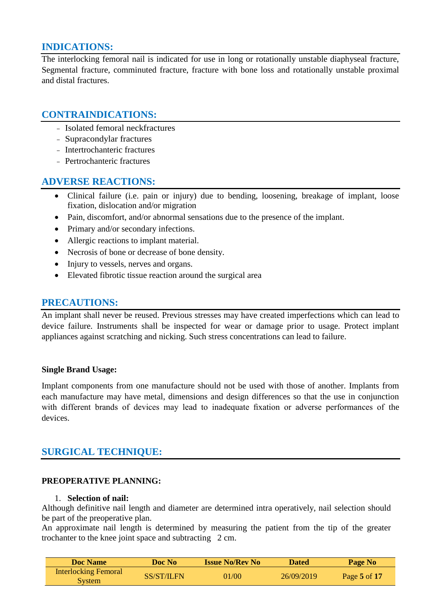## **INDICATIONS:**

The interlocking femoral nail is indicated for use in long or rotationally unstable diaphyseal fracture, Segmental fracture, comminuted fracture, fracture with bone loss and rotationally unstable proximal and distal fractures.

## **CONTRAINDICATIONS:**

- Isolated femoral neckfractures
- Supracondylar fractures
- Intertrochanteric fractures
- Pertrochanteric fractures

## **ADVERSE REACTIONS:**

- Clinical failure (i.e. pain or injury) due to bending, loosening, breakage of implant, loose fixation, dislocation and/or migration
- Pain, discomfort, and/or abnormal sensations due to the presence of the implant.
- Primary and/or secondary infections.
- Allergic reactions to implant material.
- Necrosis of bone or decrease of bone density.
- Injury to vessels, nerves and organs.
- Elevated fibrotic tissue reaction around the surgical area

### **PRECAUTIONS:**

An implant shall never be reused. Previous stresses may have created imperfections which can lead to device failure. Instruments shall be inspected for wear or damage prior to usage. Protect implant appliances against scratching and nicking. Such stress concentrations can lead to failure.

#### **Single Brand Usage:**

Implant components from one manufacture should not be used with those of another. Implants from each manufacture may have metal, dimensions and design differences so that the use in conjunction with different brands of devices may lead to inadequate fixation or adverse performances of the devices.

## **SURGICAL TECHNIQUE:**

#### **PREOPERATIVE PLANNING:**

#### 1. **Selection of nail:**

Although definitive nail length and diameter are determined intra operatively, nail selection should be part of the preoperative plan.

An approximate nail length is determined by measuring the patient from the tip of the greater trochanter to the knee joint space and subtracting 2 cm.

| Doc Name                                     | Doc No            | <b>Issue No/Rev No</b> | <b>Dated</b> | Page No      |
|----------------------------------------------|-------------------|------------------------|--------------|--------------|
| <b>Interlocking Femoral</b><br><b>System</b> | <b>SS/ST/ILFN</b> | 01/00                  | 26/09/2019   | Page 5 of 17 |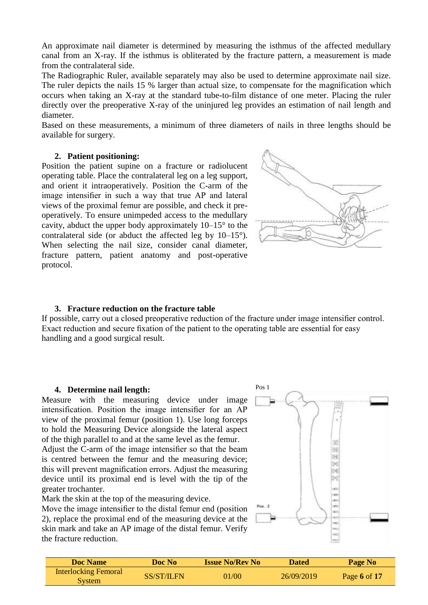An approximate nail diameter is determined by measuring the isthmus of the affected medullary canal from an X-ray. If the isthmus is obliterated by the fracture pattern, a measurement is made from the contralateral side.

The Radiographic Ruler, available separately may also be used to determine approximate nail size. The ruler depicts the nails 15 % larger than actual size, to compensate for the magnification which occurs when taking an X-ray at the standard tube-to-film distance of one meter. Placing the ruler directly over the preoperative X-ray of the uninjured leg provides an estimation of nail length and diameter.

Based on these measurements, a minimum of three diameters of nails in three lengths should be available for surgery.

#### **2. Patient positioning:**

Position the patient supine on a fracture or radiolucent operating table. Place the contralateral leg on a leg support, and orient it intraoperatively. Position the C-arm of the image intensifier in such a way that true AP and lateral views of the proximal femur are possible, and check it preoperatively. To ensure unimpeded access to the medullary cavity, abduct the upper body approximately  $10-15^{\circ}$  to the contralateral side (or abduct the affected leg by 10–15°). When selecting the nail size, consider canal diameter, fracture pattern, patient anatomy and post-operative protocol.



#### **3. Fracture reduction on the fracture table**

If possible, carry out a closed preoperative reduction of the fracture under image intensifier control. Exact reduction and secure fixation of the patient to the operating table are essential for easy handling and a good surgical result.

#### **4. Determine nail length:**

Measure with the measuring device under image intensification. Position the image intensifier for an AP view of the proximal femur (position 1). Use long forceps to hold the Measuring Device alongside the lateral aspect of the thigh parallel to and at the same level as the femur.

Adjust the C-arm of the image intensifier so that the beam is centred between the femur and the measuring device; this will prevent magnification errors. Adjust the measuring device until its proximal end is level with the tip of the greater trochanter.

Mark the skin at the top of the measuring device.

Move the image intensifier to the distal femur end (position 2), replace the proximal end of the measuring device at the skin mark and take an AP image of the distal femur. Verify the fracture reduction.



| <b>Doc</b> Name                       | Doc No            | <b>Issue No/Rev No</b> | <b>Dated</b> | Page No        |
|---------------------------------------|-------------------|------------------------|--------------|----------------|
| <b>Interlocking Femoral</b><br>System | <b>SS/ST/ILFN</b> | 01/00                  | 26/09/2019   | Page 6 of $17$ |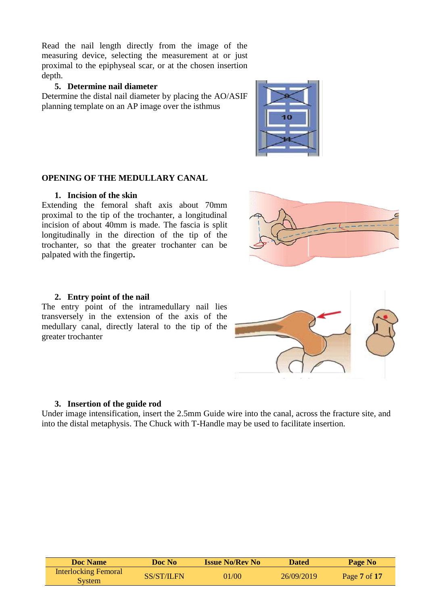Read the nail length directly from the image of the measuring device, selecting the measurement at or just proximal to the epiphyseal scar, or at the chosen insertion depth.

#### **5. Determine nail diameter**

Determine the distal nail diameter by placing the AO/ASIF planning template on an AP image over the isthmus

#### **OPENING OF THE MEDULLARY CANAL**

#### **1. Incision of the skin**

Extending the femoral shaft axis about 70mm proximal to the tip of the trochanter, a longitudinal incision of about 40mm is made. The fascia is split longitudinally in the direction of the tip of the trochanter, so that the greater trochanter can be palpated with the fingertip**.**

#### **2. Entry point of the nail**

The entry point of the intramedullary nail lies transversely in the extension of the axis of the medullary canal, directly lateral to the tip of the greater trochanter

#### **3. Insertion of the guide rod**

Under image intensification, insert the 2.5mm Guide wire into the canal, across the fracture site, and into the distal metaphysis. The Chuck with T-Handle may be used to facilitate insertion.

| <b>Doc</b> Name                              | Doc No            | <b>Issue No/Rev No</b> | <b>Dated</b> | Page No      |
|----------------------------------------------|-------------------|------------------------|--------------|--------------|
| <b>Interlocking Femoral</b><br><b>System</b> | <b>SS/ST/ILFN</b> | 01/00                  | 26/09/2019   | Page 7 of 17 |



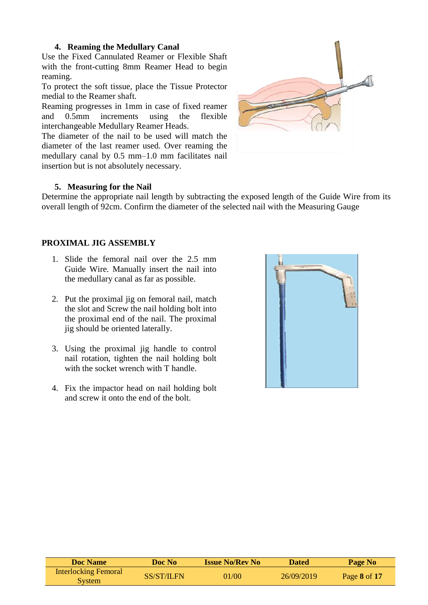#### **4. Reaming the Medullary Canal**

Use the Fixed Cannulated Reamer or Flexible Shaft with the front-cutting 8mm Reamer Head to begin reaming.

To protect the soft tissue, place the Tissue Protector medial to the Reamer shaft.

Reaming progresses in 1mm in case of fixed reamer and 0.5mm increments using the flexible interchangeable Medullary Reamer Heads.

The diameter of the nail to be used will match the diameter of the last reamer used. Over reaming the medullary canal by 0.5 mm–1.0 mm facilitates nail insertion but is not absolutely necessary.



#### **5. Measuring for the Nail**

Determine the appropriate nail length by subtracting the exposed length of the Guide Wire from its overall length of 92cm. Confirm the diameter of the selected nail with the Measuring Gauge

#### **PROXIMAL JIG ASSEMBLY**

- 1. Slide the femoral nail over the 2.5 mm Guide Wire. Manually insert the nail into the medullary canal as far as possible.
- 2. Put the proximal jig on femoral nail, match the slot and Screw the nail holding bolt into the proximal end of the nail. The proximal jig should be oriented laterally.
- 3. Using the proximal jig handle to control nail rotation, tighten the nail holding bolt with the socket wrench with T handle.
- 4. Fix the impactor head on nail holding bolt and screw it onto the end of the bolt.



| Doc Name                                     | Doc No     | <b>Issue No/Rev No</b> | Dated      | Page No      |
|----------------------------------------------|------------|------------------------|------------|--------------|
| <b>Interlocking Femoral</b><br><b>System</b> | SS/ST/ILFN | 01/00                  | 26/09/2019 | Page 8 of 17 |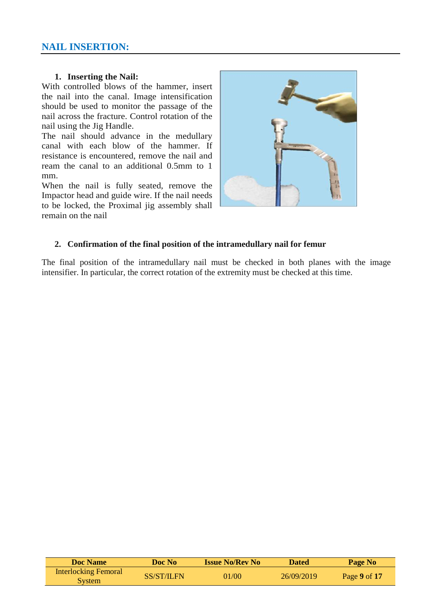#### **1. Inserting the Nail:**

With controlled blows of the hammer, insert the nail into the canal. Image intensification should be used to monitor the passage of the nail across the fracture. Control rotation of the nail using the Jig Handle.

The nail should advance in the medullary canal with each blow of the hammer. If resistance is encountered, remove the nail and ream the canal to an additional 0.5mm to 1 mm.

When the nail is fully seated, remove the Impactor head and guide wire. If the nail needs to be locked, the Proximal jig assembly shall remain on the nail



#### **2. Confirmation of the final position of the intramedullary nail for femur**

The final position of the intramedullary nail must be checked in both planes with the image intensifier. In particular, the correct rotation of the extremity must be checked at this time.

| <b>Doc</b> Name                       | Doc No-           | <b>Issue No/Rev No</b> | <b>Dated</b> | Page No      |
|---------------------------------------|-------------------|------------------------|--------------|--------------|
| <b>Interlocking Femoral</b><br>System | <b>SS/ST/ILFN</b> | 01/00                  | 26/09/2019   | Page 9 of 17 |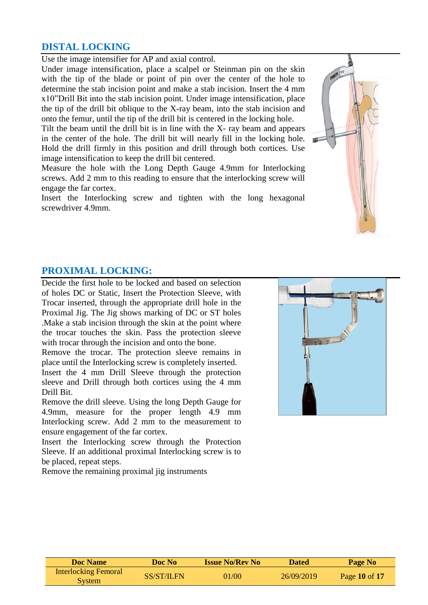## **DISTAL LOCKING**

Use the image intensifier for AP and axial control.

Under image intensification, place a scalpel or Steinman pin on the skin with the tip of the blade or point of pin over the center of the hole to determine the stab incision point and make a stab incision. Insert the 4 mm x10"Drill Bit into the stab incision point. Under image intensification, place the tip of the drill bit oblique to the X-ray beam, into the stab incision and onto the femur, until the tip of the drill bit is centered in the locking hole.

Tilt the beam until the drill bit is in line with the X- ray beam and appears in the center of the hole. The drill bit will nearly fill in the locking hole. Hold the drill firmly in this position and drill through both cortices. Use image intensification to keep the drill bit centered.

Measure the hole with the Long Depth Gauge 4.9mm for Interlocking screws. Add 2 mm to this reading to ensure that the interlocking screw will engage the far cortex.

Insert the Interlocking screw and tighten with the long hexagonal screwdriver 4.9mm.



## **PROXIMAL LOCKING:**

Decide the first hole to be locked and based on selection of holes DC or Static, Insert the Protection Sleeve, with Trocar inserted, through the appropriate drill hole in the Proximal Jig. The Jig shows marking of DC or ST holes .Make a stab incision through the skin at the point where the trocar touches the skin. Pass the protection sleeve with trocar through the incision and onto the bone.

Remove the trocar. The protection sleeve remains in place until the Interlocking screw is completely inserted. Insert the 4 mm Drill Sleeve through the protection

sleeve and Drill through both cortices using the 4 mm Drill Bit.

Remove the drill sleeve. Using the long Depth Gauge for 4.9mm, measure for the proper length 4.9 mm Interlocking screw. Add 2 mm to the measurement to ensure engagement of the far cortex.

Insert the Interlocking screw through the Protection Sleeve. If an additional proximal Interlocking screw is to be placed, repeat steps.

Remove the remaining proximal jig instruments



| Doc Name                                     | Doc No     | <b>Issue No/Rev No</b> | <b>Dated</b> | Page No       |
|----------------------------------------------|------------|------------------------|--------------|---------------|
| <b>Interlocking Femoral</b><br><b>System</b> | SS/ST/ILFN | 01/00                  | 26/09/2019   | Page 10 of 17 |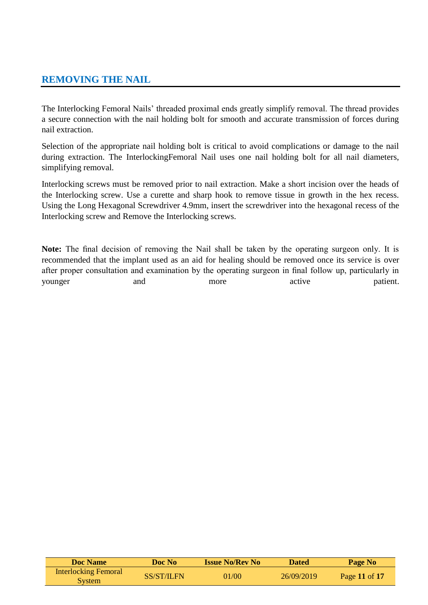## **REMOVING THE NAIL**

The Interlocking Femoral Nails' threaded proximal ends greatly simplify removal. The thread provides a secure connection with the nail holding bolt for smooth and accurate transmission of forces during nail extraction.

Selection of the appropriate nail holding bolt is critical to avoid complications or damage to the nail during extraction. The InterlockingFemoral Nail uses one nail holding bolt for all nail diameters, simplifying removal.

Interlocking screws must be removed prior to nail extraction. Make a short incision over the heads of the Interlocking screw. Use a curette and sharp hook to remove tissue in growth in the hex recess. Using the Long Hexagonal Screwdriver 4.9mm, insert the screwdriver into the hexagonal recess of the Interlocking screw and Remove the Interlocking screws.

**Note:** The final decision of removing the Nail shall be taken by the operating surgeon only. It is recommended that the implant used as an aid for healing should be removed once its service is over after proper consultation and examination by the operating surgeon in final follow up, particularly in younger and and more active patient.

| Doc Name                              | Doc No            | <b>Issue No/Rev No</b> | <b>Dated</b> | Page No       |
|---------------------------------------|-------------------|------------------------|--------------|---------------|
| <b>Interlocking Femoral</b><br>System | <b>SS/ST/ILFN</b> | 01/00                  | 26/09/2019   | Page 11 of 17 |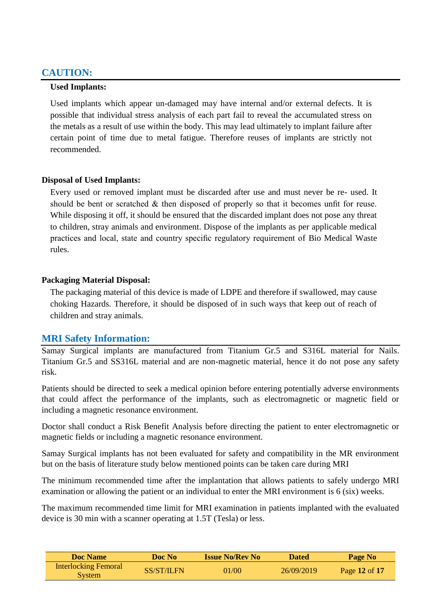## **CAUTION:**

#### **Used Implants:**

Used implants which appear un-damaged may have internal and/or external defects. It is possible that individual stress analysis of each part fail to reveal the accumulated stress on the metals as a result of use within the body. This may lead ultimately to implant failure after certain point of time due to metal fatigue. Therefore reuses of implants are strictly not recommended.

#### **Disposal of Used Implants:**

Every used or removed implant must be discarded after use and must never be re- used. It should be bent or scratched & then disposed of properly so that it becomes unfit for reuse. While disposing it off, it should be ensured that the discarded implant does not pose any threat to children, stray animals and environment. Dispose of the implants as per applicable medical practices and local, state and country specific regulatory requirement of Bio Medical Waste rules.

#### **Packaging Material Disposal:**

The packaging material of this device is made of LDPE and therefore if swallowed, may cause choking Hazards. Therefore, it should be disposed of in such ways that keep out of reach of children and stray animals.

## **MRI Safety Information:**

Samay Surgical implants are manufactured from Titanium Gr.5 and S316L material for Nails. Titanium Gr.5 and SS316L material and are non-magnetic material, hence it do not pose any safety risk.

Patients should be directed to seek a medical opinion before entering potentially adverse environments that could affect the performance of the implants, such as electromagnetic or magnetic field or including a magnetic resonance environment.

Doctor shall conduct a Risk Benefit Analysis before directing the patient to enter electromagnetic or magnetic fields or including a magnetic resonance environment.

Samay Surgical implants has not been evaluated for safety and compatibility in the MR environment but on the basis of literature study below mentioned points can be taken care during MRI

The minimum recommended time after the implantation that allows patients to safely undergo MRI examination or allowing the patient or an individual to enter the MRI environment is 6 (six) weeks.

The maximum recommended time limit for MRI examination in patients implanted with the evaluated device is 30 min with a scanner operating at 1.5T (Tesla) or less.

| Doc Name                                     | Doc No            | <b>Issue No/Rev No</b> | <b>Dated</b> | Page No       |
|----------------------------------------------|-------------------|------------------------|--------------|---------------|
| <b>Interlocking Femoral</b><br><b>System</b> | <b>SS/ST/ILFN</b> | 01/00                  | 26/09/2019   | Page 12 of 17 |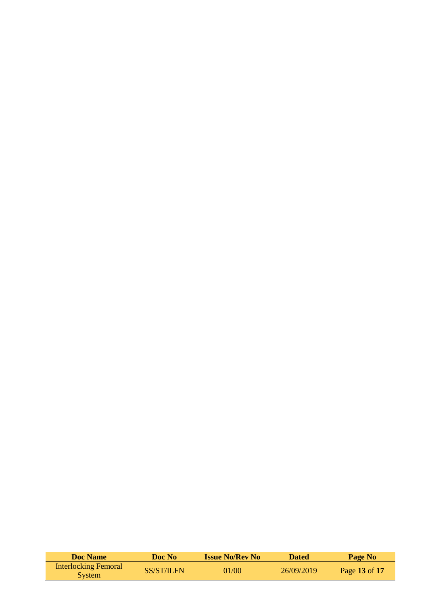| <b>Doc Name</b>                              | Doc No            | <b>Issue No/Rev No</b> | <b>Dated</b> | Page No       |
|----------------------------------------------|-------------------|------------------------|--------------|---------------|
| <b>Interlocking Femoral</b><br><b>System</b> | <b>SS/ST/ILFN</b> | 01/00                  | 26/09/2019   | Page 13 of 17 |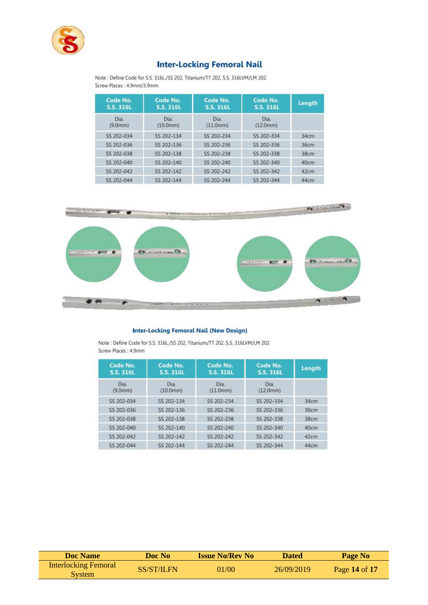

## **Inter-Locking Femoral Nail**

Note : Define Code for S.S. 316L/SS 202, Titanium/TT 202, S.S. 316LVM/LM 202 Screw Places: 4.9mm/3.9mm

| Code No.<br>S.S. 316L | Code No.<br>S.S. 316L | Code No.<br><b>S.S. 316L</b> | Code No.<br>S.S. 316L | Length |
|-----------------------|-----------------------|------------------------------|-----------------------|--------|
| Dia.<br>(9.0mm)       | Dia.<br>(10.0mm)      | Dia.<br>(11.0mm)             | Dia.<br>(12.0mm)      |        |
| SS 202-034            | SS 202-134            | SS 202-234                   | 55 202-334            | 34cm   |
| SS 202-036            | \$\$ 202-136          | SS 202-236                   | SS 202-336            | 36cm   |
| SS 202-038            | SS 202-138            | SS 202-238                   | SS 202-338            | 38cm   |
| SS 202-040            | SS 202-140            | SS 202-240                   | SS 202-340            | 40cm   |
| SS 202-042            | SS 202-142            | SS 202-242                   | SS 202-342            | 42cm   |
| SS 202-044            | SS 202-144            | SS 202-244                   | SS 202-344            | 44cm   |



#### **Inter-Locking Femoral Nail (New Design)**

Note: Define Code for S.S. 316L/SS 202, Titanium/TT 202, S.S. 316LVM/LM 202 Screw Places: 4.9mm

| Code No.<br><b>S.S. 316L</b> | Code No.<br>S.S. 316L | Code No.<br><b>S.S. 316L</b> | Code No.<br>S.S. 316L | Length |
|------------------------------|-----------------------|------------------------------|-----------------------|--------|
| Dia.<br>(9.0mm)              | Dia.<br>(10.0mm)      | Dia.<br>(11.0mm)             | Dia.<br>(12.0mm)      |        |
| SS 202-034                   | SS 202-134            | SS 202-234                   | SS 202-334            | 34cm   |
| SS 202-036                   | SS 202-136            | SS 202-236                   | SS 202-336            | 36cm   |
| SS 202-038                   | SS 202-138            | SS 202-238                   | SS 202-338            | 38cm   |
| SS 202-040                   | SS 202-140            | SS 202-240                   | SS 202-340            | 40cm   |
| SS 202-042                   | SS 202-142            | SS 202-242                   | \$\$ 202-342          | 42cm   |
| SS 202-044                   | SS 202-144            | SS 202-244                   | SS 202-344            | 44cm   |

| <b>Doc Name</b>                              | Doc No            | <b>Issue No/Rev No</b> | <b>Dated</b> | Page No       |  |
|----------------------------------------------|-------------------|------------------------|--------------|---------------|--|
| <b>Interlocking Femoral</b><br><b>System</b> | <b>SS/ST/ILFN</b> | 01/00                  | 26/09/2019   | Page 14 of 17 |  |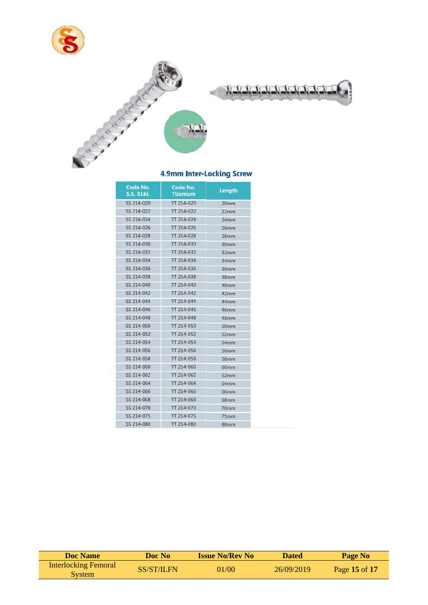



## 4.9mm Inter-Locking Screw

| Code No.<br><b>S.S. 316L</b> | Code No.<br><b>Titanium</b> | Length           |
|------------------------------|-----------------------------|------------------|
| SS 214-020                   | TT 214-020                  | 20 <sub>mm</sub> |
| SS 214-022                   | TT 214-022                  | 22mm             |
| SS 214-024                   | TT 214-024                  | $24$ mm          |
| SS 214-026                   | TT 214-026                  | 26mm             |
| SS 214-028                   | TT 214-028                  | 28mm             |
| SS 214-030                   | TT 214-030                  | 30mm             |
| SS 214-032                   | TT 214-032                  | 32mm             |
| SS 214-034                   | TT 214-034                  | 34mm             |
| SS 214-036                   | TT 214-036                  | 36mm             |
| SS 214-038                   | TT 214-038                  | 38 <sub>mm</sub> |
| SS 214-040                   | TT 214-040                  | 40mm             |
| SS 214-042                   | TT 214-042                  | 42mm             |
| SS 214-044                   | TT 214-044                  | 44mm             |
| SS 214-046                   | TT 214-046                  | 46mm             |
| SS 214-048                   | TT 214-048                  | 48mm             |
| SS 214-050                   | TT 214-050                  | 50mm             |
| SS 214-052                   | TT 214-052                  | 52mm             |
| SS 214-054                   | TT 214-054                  | 54mm             |
| SS 214-056                   | TT 214-056                  | 56mm             |
| SS 214-058                   | TT 214-058                  | 58mm             |
| SS 214-060                   | TT 214-060                  | 60mm             |
| SS 214-062                   | TT 214-062                  | 62mm             |
| SS 214-064                   | TT 214-064                  | 64mm             |
| SS 214-066                   | TT 214-066                  | <b>66mm</b>      |
| SS 214-068                   | TT 214-068                  | 68mm             |
| SS 214-070                   | TT 214-070                  | 70mm             |
| SS 214-075                   | TT 214-075                  | 75 <sub>mm</sub> |
| SS 214-080                   | TT 214-080                  | 80mm             |

| <b>Doc</b> Name                         | Doc No            | <b>Issue No/Rev No</b> | <b>Dated</b> | Page No       |
|-----------------------------------------|-------------------|------------------------|--------------|---------------|
| <b>Interlocking Femoral</b><br>System i | <b>SS/ST/ILFN</b> | 01/00                  | 26/09/2019   | Page 15 of 17 |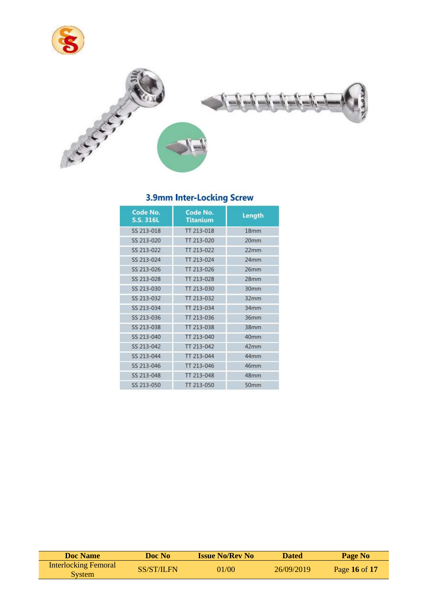



## 3.9mm Inter-Locking Screw

| Code No.<br><b>S.S. 316L</b> | Code No.<br><b>Titanium</b> | Length           |
|------------------------------|-----------------------------|------------------|
| SS 213-018                   | TT 213-018                  | 18 <sub>mm</sub> |
| SS 213-020                   | TT 213-020                  | 20 <sub>mm</sub> |
| SS 213-022                   | TT 213-022                  | 22mm             |
| SS 213-024                   | TT 213-024                  | 24mm             |
| SS 213-026                   | TT 213-026                  | 26mm             |
| SS 213-028                   | TT 213-028                  | 28mm             |
| SS 213-030                   | TT 213-030                  | 30mm             |
| SS 213-032                   | TT 213-032                  | 32mm             |
| SS 213-034                   | TT 213-034                  | 34mm             |
| SS 213-036                   | TT 213-036                  | 36mm             |
| SS 213-038                   | TT 213-038                  | 38mm             |
| SS 213-040                   | TT 213-040                  | 40mm             |
| SS 213-042                   | TT 213-042                  | 42mm             |
| SS 213-044                   | TT 213-044                  | 44mm             |
| SS 213-046                   | TT 213-046                  | 46mm             |
| SS 213-048                   | TT 213-048                  | 48mm             |
| SS 213-050                   | TT 213-050                  | 50mm             |

| <b>Doc</b> Name                       | Doc No            | <b>Issue No/Rev No</b> | <b>Dated</b> | Page No       |
|---------------------------------------|-------------------|------------------------|--------------|---------------|
| <b>Interlocking Femoral</b><br>System | <b>SS/ST/ILFN</b> | 01/00                  | 26/09/2019   | Page 16 of 17 |